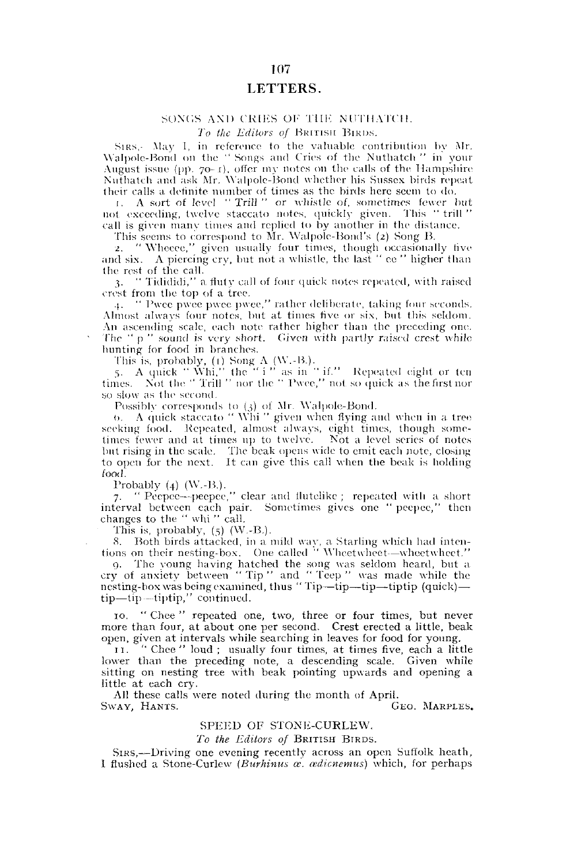## 107 LETTERS.

## SONGS AND CRIES OF THE NUTHATCH.

*To the Editors of* BRITISH BIRDS.

SIRS, May I, in reference to the valuable contribution by Mr. Walpolc-Bond on the " Songs and Cries of the Nuthatch " in your August issue (pp.  $70-1$ ), offer my notes on the calls of the Hampshire Nuthatch and ask Mr. Walpolc-Bond whether his Sussex birds repeat their calls a definite number of times as the birds here seem to do.

1. A sort of level "Trill " or -whistle of. sometimes fewer but, not exceeding, twelve staccato notes, quickly given. This " trill " call is given many times and replied to by another in the distance.

This seems to correspond to Mr. Walpolc-Bond's *(2)* Song B.

2. "Wheece," given usually four times, though occasionally five and six. A piercing cry, but not a whistle, the last " ce " higher than the rest of the call.

3. " Tidididi," a fluty call of four quick notes repeated, with raised crest from the top of a tree.

4. " l'wcc pwee pwee pwec," rather deliberate, taking four seconds. Almost always four notes, but at times five or six, but this seldom. An ascending scale, each note rather higher than the preceding one. The "p" sound is very short. Given with partly raised crest while hunting for food in branches.

This is, probably, (1) Song A (W.-B.).

5. A quick " Whi," the " i" as in " if." Repeated eight or ten times. Not the "Trill" nor the " Pwee," not so quick as the first nor so slow as the second.

Possibly corresponds to (3) of Mr. Walpole-Bond.

O. A quick staccato " Whi " given when flying and when in a tree seeking food. Repeated, almost always, eight times, though sometimes fewer and at times up to twelve. Not a level series of notes but rising in the scale. The beak opens wide to emit each note, closing to open for the next. It can give this call when the beak is holding food.

Probably (4) (W.-B.).

7. " Peepee--peepee," clear and flutelike; repeated with a short interval between each pair. Sometimes gives one " pecpec," then changes to the " whi " call.

This is, probably,  $(5)$  (W.-B.).

•S. Both birds attacked, in a mild way, a Starling which had inten-tions on their nesting-box. One called " Wheetwheet—wheetwheet."

9. The young having hatched the song was seldom heard, but a cry of anxiety between " Tip " and " Teep " was made while the nesting-box was being examined, thus " Tip—tip—tip—tiptip (quick) tip—tip —tiptip," continued.

10. " Chee " repeated one, two, three or four times, but never more than four, at about one per second. Crest erected a little, beak open, given at intervals while searching in leaves for food for young.

11. " Chee " loud ; usually four times, at times five, each a little lower than the preceding note, a descending scale. Given while sitting on nesting tree with beak pointing upwards and opening a little at each cry.

All these calls were noted during the month of April. SWAY, HANTS.

## SPEED OF STONE-CURLEW.

*To the Editors of* BRITISH BIRDS.

SIRS,—Driving one evening recently across an open Suffolk heath, I flushed a Stone-Curlew *(Burhinus as. cedicnemus)* which, for perhaps